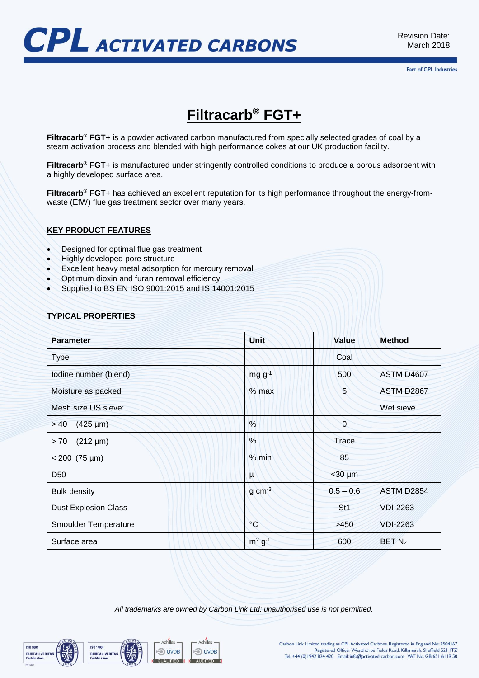

# **Filtracarb® FGT+**

**Filtracarb® FGT+** is a powder activated carbon manufactured from specially selected grades of coal by a steam activation process and blended with high performance cokes at our UK production facility.

**Filtracarb® FGT+** is manufactured under stringently controlled conditions to produce a porous adsorbent with a highly developed surface area.

**Filtracarb® FGT+** has achieved an excellent reputation for its high performance throughout the energy-fromwaste (EfW) flue gas treatment sector over many years.

### **KEY PRODUCT FEATURES**

- Designed for optimal flue gas treatment
- Highly developed pore structure
- Excellent heavy metal adsorption for mercury removal
- Optimum dioxin and furan removal efficiency
- Supplied to BS EN ISO 9001:2015 and IS 14001:2015

# **TYPICAL PROPERTIES**

| <b>Parameter</b>            | <b>Unit</b>           | Value           | <b>Method</b>     |
|-----------------------------|-----------------------|-----------------|-------------------|
| <b>Type</b>                 |                       | Coal            |                   |
| lodine number (blend)       | $mgg^{-1}$            | 500             | ASTM D4607        |
| Moisture as packed          | $%$ max               | 5               | ASTM D2867        |
| Mesh size US sieve:         |                       |                 | Wet sieve         |
| $(425 \,\mu m)$<br>>40      | $\frac{0}{0}$         | $\overline{0}$  |                   |
| $(212 \mu m)$<br>> 70       | %                     | Trace           |                   |
| $< 200$ (75 µm)             | % min                 | 85              |                   |
| D <sub>50</sub>             | μ                     | $<$ 30 $\mu$ m  |                   |
| <b>Bulk density</b>         | $g \, \text{cm}^{-3}$ | $0.5 - 0.6$     | <b>ASTM D2854</b> |
| <b>Dust Explosion Class</b> |                       | St <sub>1</sub> | <b>VDI-2263</b>   |
| Smoulder Temperature        | $\rm ^{\circ}C$       | >450            | <b>VDI-2263</b>   |
| Surface area                | $m^2 g^{-1}$          | 600             | BET <sub>N2</sub> |

*All trademarks are owned by Carbon Link Ltd; unauthorised use is not permitted.*